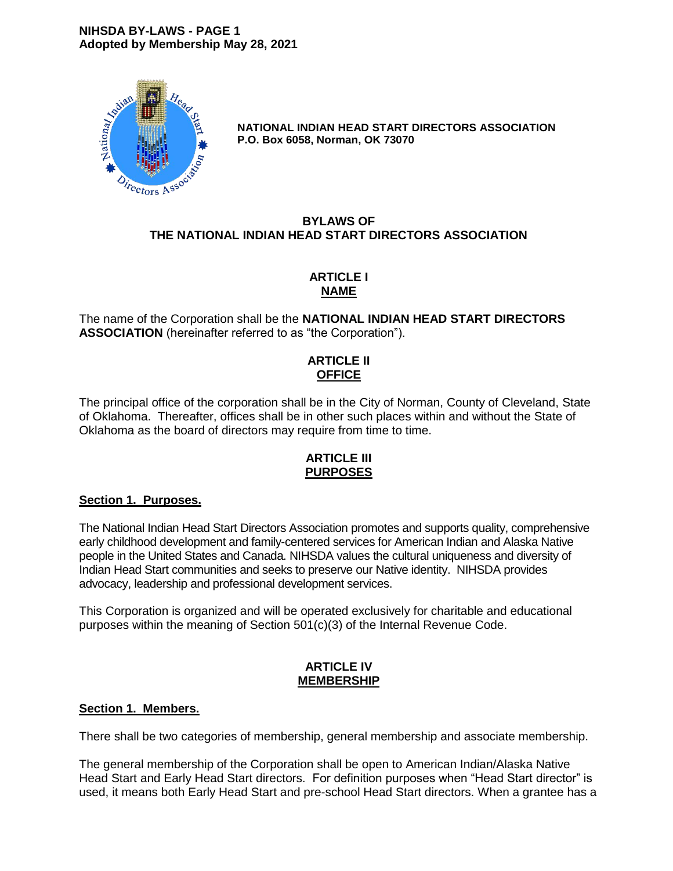### **NIHSDA BY-LAWS - PAGE 1 Adopted by Membership May 28, 2021**



**NATIONAL INDIAN HEAD START DIRECTORS ASSOCIATION P.O. Box 6058, Norman, OK 73070**

# **BYLAWS OF THE NATIONAL INDIAN HEAD START DIRECTORS ASSOCIATION**

# **ARTICLE I NAME**

The name of the Corporation shall be the **NATIONAL INDIAN HEAD START DIRECTORS ASSOCIATION** (hereinafter referred to as "the Corporation").

# **ARTICLE II OFFICE**

The principal office of the corporation shall be in the City of Norman, County of Cleveland, State of Oklahoma. Thereafter, offices shall be in other such places within and without the State of Oklahoma as the board of directors may require from time to time.

### **ARTICLE III PURPOSES**

# **Section 1. Purposes.**

The National Indian Head Start Directors Association promotes and supports quality, comprehensive early childhood development and family-centered services for American Indian and Alaska Native people in the United States and Canada. NIHSDA values the cultural uniqueness and diversity of Indian Head Start communities and seeks to preserve our Native identity. NIHSDA provides advocacy, leadership and professional development services.

This Corporation is organized and will be operated exclusively for charitable and educational purposes within the meaning of Section 501(c)(3) of the Internal Revenue Code.

### **ARTICLE IV MEMBERSHIP**

# **Section 1. Members.**

There shall be two categories of membership, general membership and associate membership.

The general membership of the Corporation shall be open to American Indian/Alaska Native Head Start and Early Head Start directors. For definition purposes when "Head Start director" is used, it means both Early Head Start and pre-school Head Start directors. When a grantee has a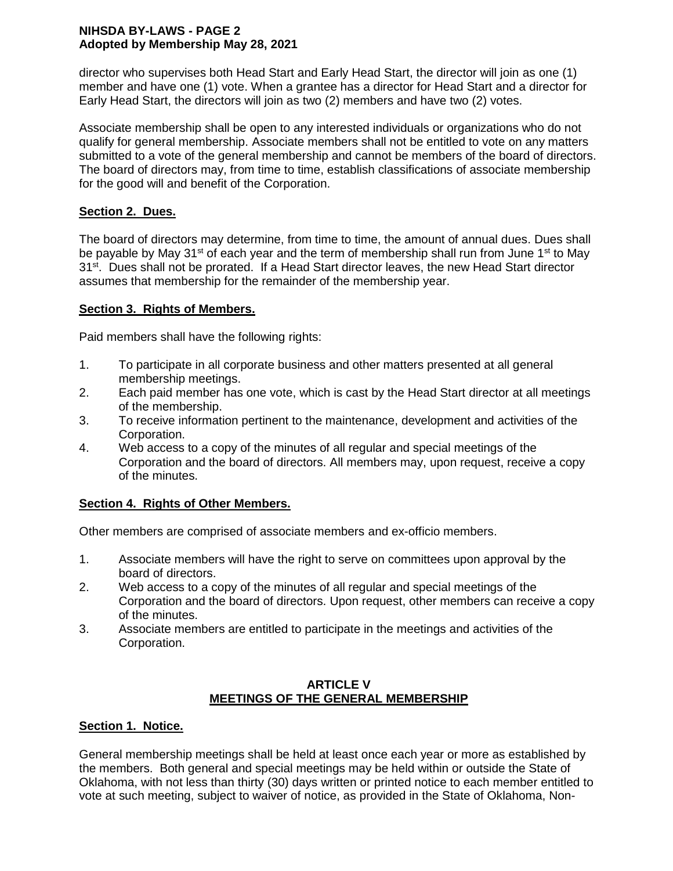## **NIHSDA BY-LAWS - PAGE 2 Adopted by Membership May 28, 2021**

director who supervises both Head Start and Early Head Start, the director will join as one (1) member and have one (1) vote. When a grantee has a director for Head Start and a director for Early Head Start, the directors will join as two (2) members and have two (2) votes.

Associate membership shall be open to any interested individuals or organizations who do not qualify for general membership. Associate members shall not be entitled to vote on any matters submitted to a vote of the general membership and cannot be members of the board of directors. The board of directors may, from time to time, establish classifications of associate membership for the good will and benefit of the Corporation.

# **Section 2. Dues.**

The board of directors may determine, from time to time, the amount of annual dues. Dues shall be payable by May 31<sup>st</sup> of each year and the term of membership shall run from June 1<sup>st</sup> to May 31<sup>st</sup>. Dues shall not be prorated. If a Head Start director leaves, the new Head Start director assumes that membership for the remainder of the membership year.

# **Section 3. Rights of Members.**

Paid members shall have the following rights:

- 1. To participate in all corporate business and other matters presented at all general membership meetings.
- 2. Each paid member has one vote, which is cast by the Head Start director at all meetings of the membership.
- 3. To receive information pertinent to the maintenance, development and activities of the Corporation.
- 4. Web access to a copy of the minutes of all regular and special meetings of the Corporation and the board of directors. All members may, upon request, receive a copy of the minutes.

# **Section 4. Rights of Other Members.**

Other members are comprised of associate members and ex-officio members.

- 1. Associate members will have the right to serve on committees upon approval by the board of directors.
- 2. Web access to a copy of the minutes of all regular and special meetings of the Corporation and the board of directors. Upon request, other members can receive a copy of the minutes.
- 3. Associate members are entitled to participate in the meetings and activities of the Corporation.

# **ARTICLE V MEETINGS OF THE GENERAL MEMBERSHIP**

# **Section 1. Notice.**

General membership meetings shall be held at least once each year or more as established by the members. Both general and special meetings may be held within or outside the State of Oklahoma, with not less than thirty (30) days written or printed notice to each member entitled to vote at such meeting, subject to waiver of notice, as provided in the State of Oklahoma, Non-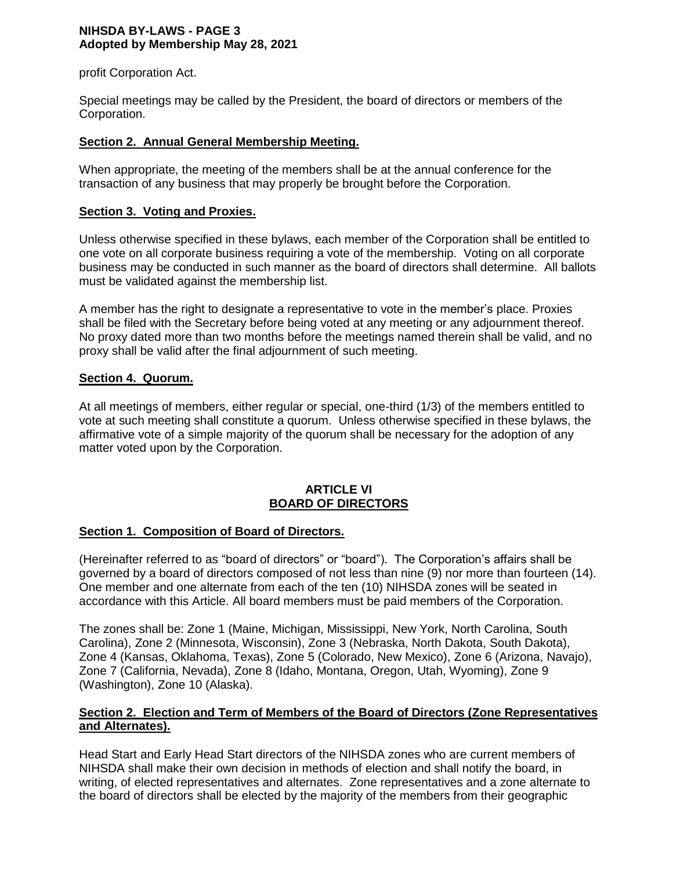### **NIHSDA BY-LAWS - PAGE 3 Adopted by Membership May 28, 2021**

profit Corporation Act.

Special meetings may be called by the President, the board of directors or members of the Corporation.

## **Section 2. Annual General Membership Meeting.**

When appropriate, the meeting of the members shall be at the annual conference for the transaction of any business that may properly be brought before the Corporation.

## **Section 3. Voting and Proxies.**

Unless otherwise specified in these bylaws, each member of the Corporation shall be entitled to one vote on all corporate business requiring a vote of the membership. Voting on all corporate business may be conducted in such manner as the board of directors shall determine. All ballots must be validated against the membership list.

A member has the right to designate a representative to vote in the member's place. Proxies shall be filed with the Secretary before being voted at any meeting or any adjournment thereof. No proxy dated more than two months before the meetings named therein shall be valid, and no proxy shall be valid after the final adjournment of such meeting.

# **Section 4. Quorum.**

At all meetings of members, either regular or special, one-third (1/3) of the members entitled to vote at such meeting shall constitute a quorum. Unless otherwise specified in these bylaws, the affirmative vote of a simple majority of the quorum shall be necessary for the adoption of any matter voted upon by the Corporation.

### **ARTICLE VI BOARD OF DIRECTORS**

# **Section 1. Composition of Board of Directors.**

(Hereinafter referred to as "board of directors" or "board"). The Corporation's affairs shall be governed by a board of directors composed of not less than nine (9) nor more than fourteen (14). One member and one alternate from each of the ten (10) NIHSDA zones will be seated in accordance with this Article. All board members must be paid members of the Corporation.

The zones shall be: Zone 1 (Maine, Michigan, Mississippi, New York, North Carolina, South Carolina), Zone 2 (Minnesota, Wisconsin), Zone 3 (Nebraska, North Dakota, South Dakota), Zone 4 (Kansas, Oklahoma, Texas), Zone 5 (Colorado, New Mexico), Zone 6 (Arizona, Navajo), Zone 7 (California, Nevada), Zone 8 (Idaho, Montana, Oregon, Utah, Wyoming), Zone 9 (Washington), Zone 10 (Alaska).

# **Section 2. Election and Term of Members of the Board of Directors (Zone Representatives and Alternates).**

Head Start and Early Head Start directors of the NIHSDA zones who are current members of NIHSDA shall make their own decision in methods of election and shall notify the board, in writing, of elected representatives and alternates. Zone representatives and a zone alternate to the board of directors shall be elected by the majority of the members from their geographic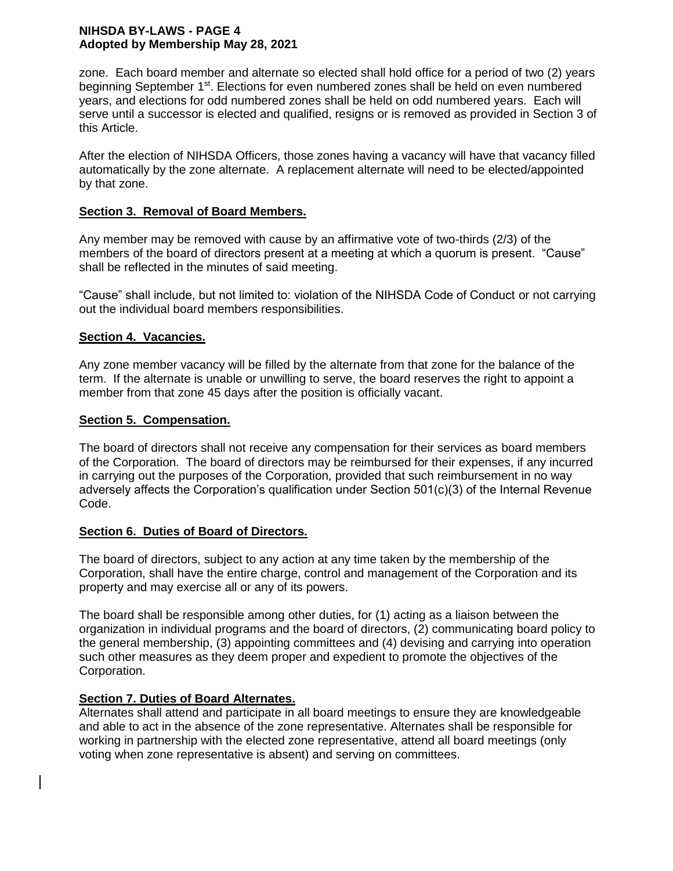## **NIHSDA BY-LAWS - PAGE 4 Adopted by Membership May 28, 2021**

zone. Each board member and alternate so elected shall hold office for a period of two (2) years beginning September 1<sup>st</sup>. Elections for even numbered zones shall be held on even numbered years, and elections for odd numbered zones shall be held on odd numbered years. Each will serve until a successor is elected and qualified, resigns or is removed as provided in Section 3 of this Article.

After the election of NIHSDA Officers, those zones having a vacancy will have that vacancy filled automatically by the zone alternate. A replacement alternate will need to be elected/appointed by that zone.

# **Section 3. Removal of Board Members.**

Any member may be removed with cause by an affirmative vote of two-thirds (2/3) of the members of the board of directors present at a meeting at which a quorum is present. "Cause" shall be reflected in the minutes of said meeting.

"Cause" shall include, but not limited to: violation of the NIHSDA Code of Conduct or not carrying out the individual board members responsibilities.

# **Section 4. Vacancies.**

Any zone member vacancy will be filled by the alternate from that zone for the balance of the term. If the alternate is unable or unwilling to serve, the board reserves the right to appoint a member from that zone 45 days after the position is officially vacant.

# **Section 5. Compensation.**

The board of directors shall not receive any compensation for their services as board members of the Corporation. The board of directors may be reimbursed for their expenses, if any incurred in carrying out the purposes of the Corporation, provided that such reimbursement in no way adversely affects the Corporation's qualification under Section 501(c)(3) of the Internal Revenue Code.

# **Section 6. Duties of Board of Directors.**

The board of directors, subject to any action at any time taken by the membership of the Corporation, shall have the entire charge, control and management of the Corporation and its property and may exercise all or any of its powers.

The board shall be responsible among other duties, for (1) acting as a liaison between the organization in individual programs and the board of directors, (2) communicating board policy to the general membership, (3) appointing committees and (4) devising and carrying into operation such other measures as they deem proper and expedient to promote the objectives of the Corporation.

# **Section 7. Duties of Board Alternates.**

Alternates shall attend and participate in all board meetings to ensure they are knowledgeable and able to act in the absence of the zone representative. Alternates shall be responsible for working in partnership with the elected zone representative, attend all board meetings (only voting when zone representative is absent) and serving on committees.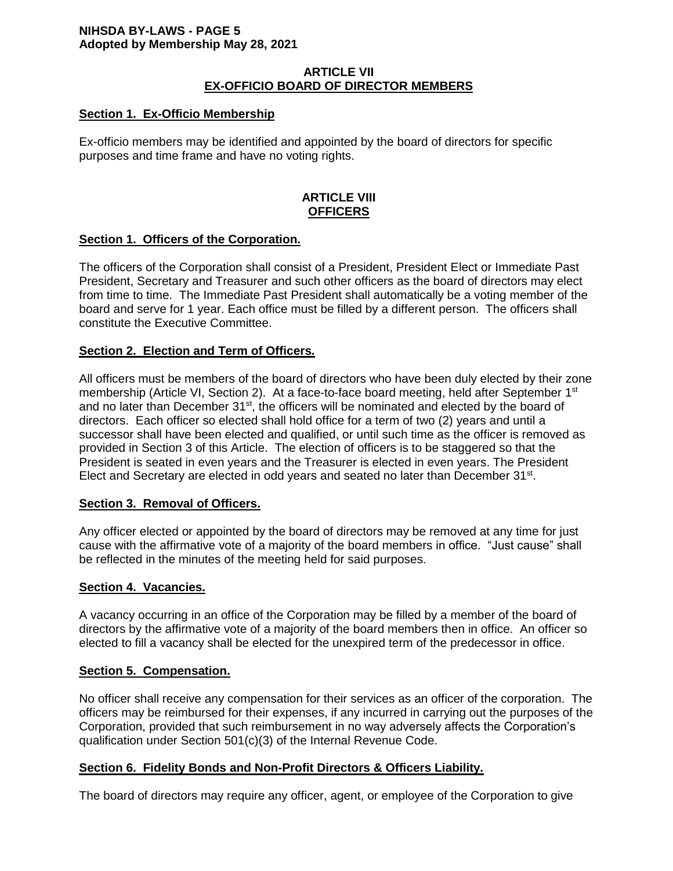### **NIHSDA BY-LAWS - PAGE 5 Adopted by Membership May 28, 2021**

### **ARTICLE VII EX-OFFICIO BOARD OF DIRECTOR MEMBERS**

# **Section 1. Ex-Officio Membership**

Ex-officio members may be identified and appointed by the board of directors for specific purposes and time frame and have no voting rights.

# **ARTICLE VIII OFFICERS**

# **Section 1. Officers of the Corporation.**

The officers of the Corporation shall consist of a President, President Elect or Immediate Past President, Secretary and Treasurer and such other officers as the board of directors may elect from time to time. The Immediate Past President shall automatically be a voting member of the board and serve for 1 year. Each office must be filled by a different person. The officers shall constitute the Executive Committee.

# **Section 2. Election and Term of Officers.**

All officers must be members of the board of directors who have been duly elected by their zone membership (Article VI, Section 2). At a face-to-face board meeting, held after September 1<sup>st</sup> and no later than December 31<sup>st</sup>, the officers will be nominated and elected by the board of directors. Each officer so elected shall hold office for a term of two (2) years and until a successor shall have been elected and qualified, or until such time as the officer is removed as provided in Section 3 of this Article. The election of officers is to be staggered so that the President is seated in even years and the Treasurer is elected in even years. The President Elect and Secretary are elected in odd years and seated no later than December 31<sup>st</sup>.

#### **Section 3. Removal of Officers.**

Any officer elected or appointed by the board of directors may be removed at any time for just cause with the affirmative vote of a majority of the board members in office. "Just cause" shall be reflected in the minutes of the meeting held for said purposes.

#### **Section 4. Vacancies.**

A vacancy occurring in an office of the Corporation may be filled by a member of the board of directors by the affirmative vote of a majority of the board members then in office. An officer so elected to fill a vacancy shall be elected for the unexpired term of the predecessor in office.

# **Section 5. Compensation.**

No officer shall receive any compensation for their services as an officer of the corporation. The officers may be reimbursed for their expenses, if any incurred in carrying out the purposes of the Corporation, provided that such reimbursement in no way adversely affects the Corporation's qualification under Section 501(c)(3) of the Internal Revenue Code.

# **Section 6. Fidelity Bonds and Non-Profit Directors & Officers Liability.**

The board of directors may require any officer, agent, or employee of the Corporation to give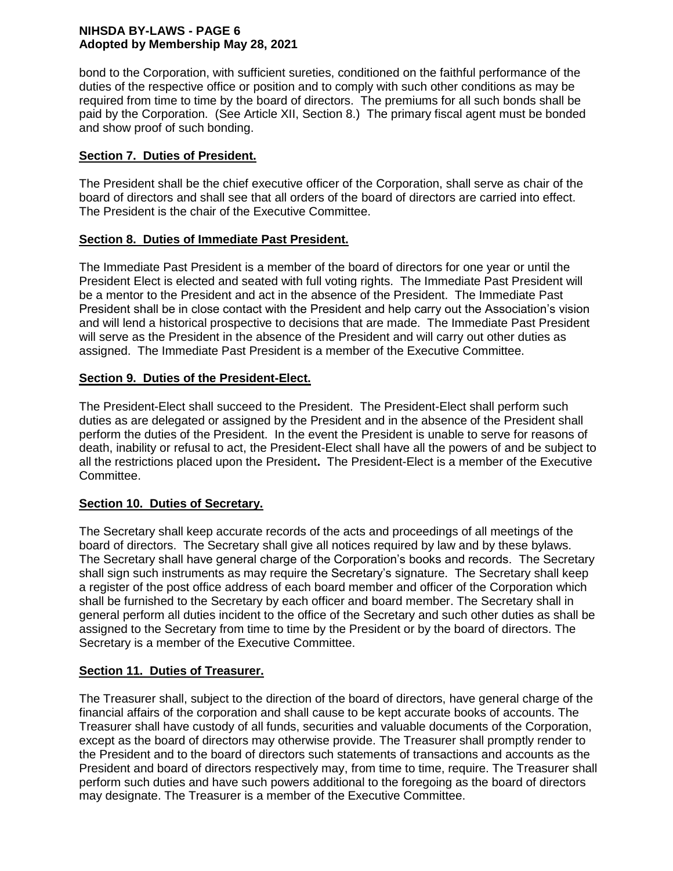## **NIHSDA BY-LAWS - PAGE 6 Adopted by Membership May 28, 2021**

bond to the Corporation, with sufficient sureties, conditioned on the faithful performance of the duties of the respective office or position and to comply with such other conditions as may be required from time to time by the board of directors. The premiums for all such bonds shall be paid by the Corporation. (See Article XII, Section 8.) The primary fiscal agent must be bonded and show proof of such bonding.

# **Section 7. Duties of President.**

The President shall be the chief executive officer of the Corporation, shall serve as chair of the board of directors and shall see that all orders of the board of directors are carried into effect. The President is the chair of the Executive Committee.

# **Section 8. Duties of Immediate Past President.**

The Immediate Past President is a member of the board of directors for one year or until the President Elect is elected and seated with full voting rights. The Immediate Past President will be a mentor to the President and act in the absence of the President. The Immediate Past President shall be in close contact with the President and help carry out the Association's vision and will lend a historical prospective to decisions that are made. The Immediate Past President will serve as the President in the absence of the President and will carry out other duties as assigned. The Immediate Past President is a member of the Executive Committee.

# **Section 9. Duties of the President-Elect.**

The President-Elect shall succeed to the President. The President-Elect shall perform such duties as are delegated or assigned by the President and in the absence of the President shall perform the duties of the President. In the event the President is unable to serve for reasons of death, inability or refusal to act, the President-Elect shall have all the powers of and be subject to all the restrictions placed upon the President**.** The President-Elect is a member of the Executive Committee.

# **Section 10. Duties of Secretary.**

The Secretary shall keep accurate records of the acts and proceedings of all meetings of the board of directors. The Secretary shall give all notices required by law and by these bylaws. The Secretary shall have general charge of the Corporation's books and records. The Secretary shall sign such instruments as may require the Secretary's signature. The Secretary shall keep a register of the post office address of each board member and officer of the Corporation which shall be furnished to the Secretary by each officer and board member. The Secretary shall in general perform all duties incident to the office of the Secretary and such other duties as shall be assigned to the Secretary from time to time by the President or by the board of directors. The Secretary is a member of the Executive Committee.

# **Section 11. Duties of Treasurer.**

The Treasurer shall, subject to the direction of the board of directors, have general charge of the financial affairs of the corporation and shall cause to be kept accurate books of accounts. The Treasurer shall have custody of all funds, securities and valuable documents of the Corporation, except as the board of directors may otherwise provide. The Treasurer shall promptly render to the President and to the board of directors such statements of transactions and accounts as the President and board of directors respectively may, from time to time, require. The Treasurer shall perform such duties and have such powers additional to the foregoing as the board of directors may designate. The Treasurer is a member of the Executive Committee.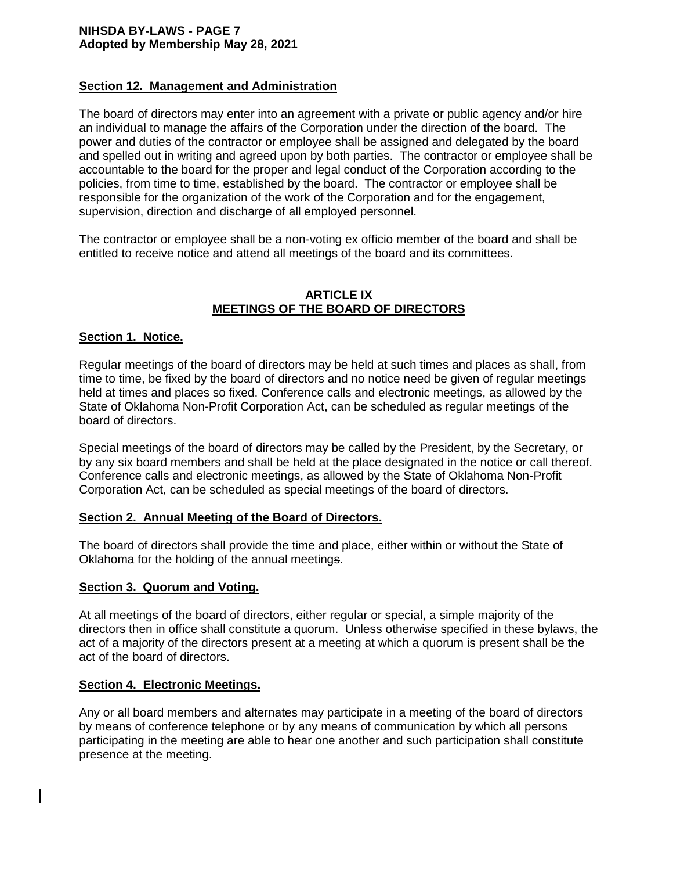#### **NIHSDA BY-LAWS - PAGE 7 Adopted by Membership May 28, 2021**

### **Section 12. Management and Administration**

The board of directors may enter into an agreement with a private or public agency and/or hire an individual to manage the affairs of the Corporation under the direction of the board. The power and duties of the contractor or employee shall be assigned and delegated by the board and spelled out in writing and agreed upon by both parties. The contractor or employee shall be accountable to the board for the proper and legal conduct of the Corporation according to the policies, from time to time, established by the board. The contractor or employee shall be responsible for the organization of the work of the Corporation and for the engagement, supervision, direction and discharge of all employed personnel.

The contractor or employee shall be a non-voting ex officio member of the board and shall be entitled to receive notice and attend all meetings of the board and its committees.

### **ARTICLE IX MEETINGS OF THE BOARD OF DIRECTORS**

#### **Section 1. Notice.**

Regular meetings of the board of directors may be held at such times and places as shall, from time to time, be fixed by the board of directors and no notice need be given of regular meetings held at times and places so fixed. Conference calls and electronic meetings, as allowed by the State of Oklahoma Non-Profit Corporation Act, can be scheduled as regular meetings of the board of directors.

Special meetings of the board of directors may be called by the President, by the Secretary, or by any six board members and shall be held at the place designated in the notice or call thereof. Conference calls and electronic meetings, as allowed by the State of Oklahoma Non-Profit Corporation Act, can be scheduled as special meetings of the board of directors.

#### **Section 2. Annual Meeting of the Board of Directors.**

The board of directors shall provide the time and place, either within or without the State of Oklahoma for the holding of the annual meetings.

#### **Section 3. Quorum and Voting.**

At all meetings of the board of directors, either regular or special, a simple majority of the directors then in office shall constitute a quorum. Unless otherwise specified in these bylaws, the act of a majority of the directors present at a meeting at which a quorum is present shall be the act of the board of directors.

#### **Section 4. Electronic Meetings.**

Any or all board members and alternates may participate in a meeting of the board of directors by means of conference telephone or by any means of communication by which all persons participating in the meeting are able to hear one another and such participation shall constitute presence at the meeting.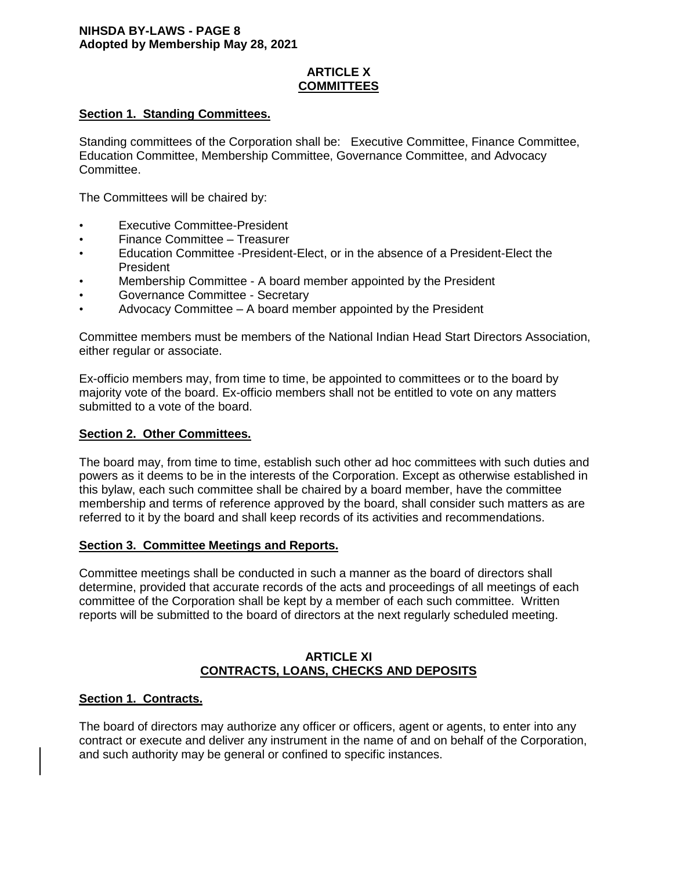# **ARTICLE X COMMITTEES**

## **Section 1. Standing Committees.**

Standing committees of the Corporation shall be: Executive Committee, Finance Committee, Education Committee, Membership Committee, Governance Committee, and Advocacy Committee.

The Committees will be chaired by:

- **Executive Committee-President**
- Finance Committee Treasurer
- Education Committee -President-Elect, or in the absence of a President-Elect the President
- Membership Committee A board member appointed by the President
- Governance Committee Secretary
- Advocacy Committee A board member appointed by the President

Committee members must be members of the National Indian Head Start Directors Association, either regular or associate.

Ex-officio members may, from time to time, be appointed to committees or to the board by majority vote of the board. Ex-officio members shall not be entitled to vote on any matters submitted to a vote of the board.

#### **Section 2. Other Committees.**

The board may, from time to time, establish such other ad hoc committees with such duties and powers as it deems to be in the interests of the Corporation. Except as otherwise established in this bylaw, each such committee shall be chaired by a board member, have the committee membership and terms of reference approved by the board, shall consider such matters as are referred to it by the board and shall keep records of its activities and recommendations.

#### **Section 3. Committee Meetings and Reports.**

Committee meetings shall be conducted in such a manner as the board of directors shall determine, provided that accurate records of the acts and proceedings of all meetings of each committee of the Corporation shall be kept by a member of each such committee. Written reports will be submitted to the board of directors at the next regularly scheduled meeting.

### **ARTICLE XI CONTRACTS, LOANS, CHECKS AND DEPOSITS**

#### **Section 1. Contracts.**

The board of directors may authorize any officer or officers, agent or agents, to enter into any contract or execute and deliver any instrument in the name of and on behalf of the Corporation, and such authority may be general or confined to specific instances.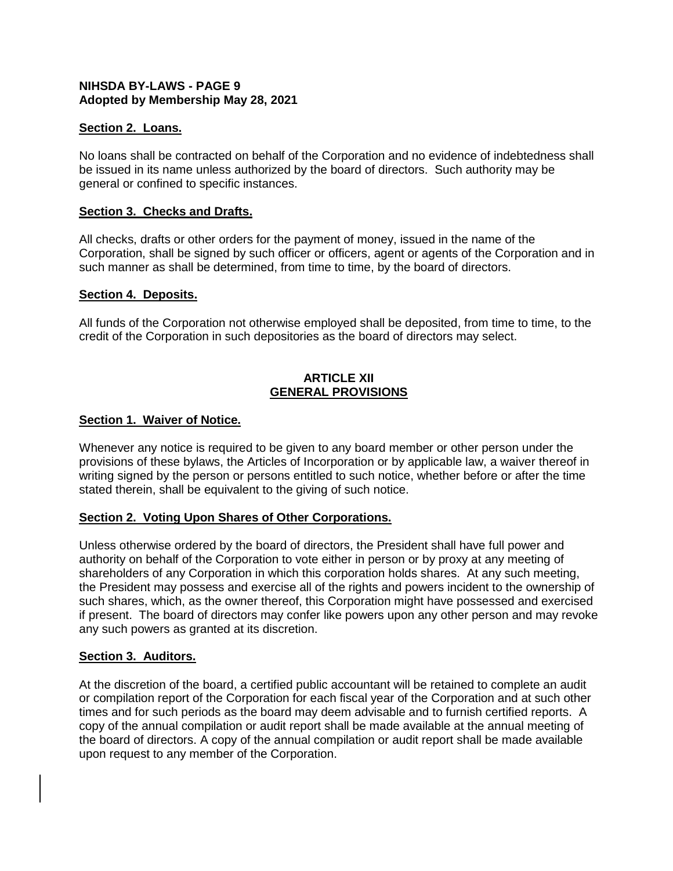# **NIHSDA BY-LAWS - PAGE 9 Adopted by Membership May 28, 2021**

## **Section 2. Loans.**

No loans shall be contracted on behalf of the Corporation and no evidence of indebtedness shall be issued in its name unless authorized by the board of directors. Such authority may be general or confined to specific instances.

### **Section 3. Checks and Drafts.**

All checks, drafts or other orders for the payment of money, issued in the name of the Corporation, shall be signed by such officer or officers, agent or agents of the Corporation and in such manner as shall be determined, from time to time, by the board of directors.

### **Section 4. Deposits.**

All funds of the Corporation not otherwise employed shall be deposited, from time to time, to the credit of the Corporation in such depositories as the board of directors may select.

## **ARTICLE XII GENERAL PROVISIONS**

### **Section 1. Waiver of Notice.**

Whenever any notice is required to be given to any board member or other person under the provisions of these bylaws, the Articles of Incorporation or by applicable law, a waiver thereof in writing signed by the person or persons entitled to such notice, whether before or after the time stated therein, shall be equivalent to the giving of such notice.

# **Section 2. Voting Upon Shares of Other Corporations.**

Unless otherwise ordered by the board of directors, the President shall have full power and authority on behalf of the Corporation to vote either in person or by proxy at any meeting of shareholders of any Corporation in which this corporation holds shares. At any such meeting, the President may possess and exercise all of the rights and powers incident to the ownership of such shares, which, as the owner thereof, this Corporation might have possessed and exercised if present. The board of directors may confer like powers upon any other person and may revoke any such powers as granted at its discretion.

#### **Section 3. Auditors.**

At the discretion of the board, a certified public accountant will be retained to complete an audit or compilation report of the Corporation for each fiscal year of the Corporation and at such other times and for such periods as the board may deem advisable and to furnish certified reports. A copy of the annual compilation or audit report shall be made available at the annual meeting of the board of directors. A copy of the annual compilation or audit report shall be made available upon request to any member of the Corporation.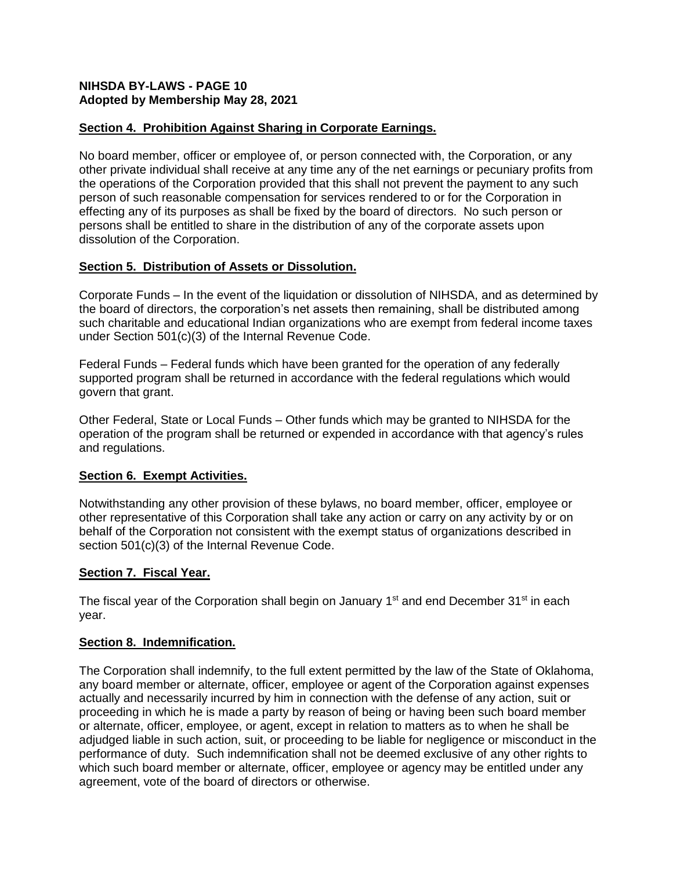# **NIHSDA BY-LAWS - PAGE 10 Adopted by Membership May 28, 2021**

# **Section 4. Prohibition Against Sharing in Corporate Earnings.**

No board member, officer or employee of, or person connected with, the Corporation, or any other private individual shall receive at any time any of the net earnings or pecuniary profits from the operations of the Corporation provided that this shall not prevent the payment to any such person of such reasonable compensation for services rendered to or for the Corporation in effecting any of its purposes as shall be fixed by the board of directors. No such person or persons shall be entitled to share in the distribution of any of the corporate assets upon dissolution of the Corporation.

# **Section 5. Distribution of Assets or Dissolution.**

Corporate Funds – In the event of the liquidation or dissolution of NIHSDA, and as determined by the board of directors, the corporation's net assets then remaining, shall be distributed among such charitable and educational Indian organizations who are exempt from federal income taxes under Section 501(c)(3) of the Internal Revenue Code.

Federal Funds – Federal funds which have been granted for the operation of any federally supported program shall be returned in accordance with the federal regulations which would govern that grant.

Other Federal, State or Local Funds – Other funds which may be granted to NIHSDA for the operation of the program shall be returned or expended in accordance with that agency's rules and regulations.

# **Section 6. Exempt Activities.**

Notwithstanding any other provision of these bylaws, no board member, officer, employee or other representative of this Corporation shall take any action or carry on any activity by or on behalf of the Corporation not consistent with the exempt status of organizations described in section 501(c)(3) of the Internal Revenue Code.

# **Section 7. Fiscal Year.**

The fiscal year of the Corporation shall begin on January  $1<sup>st</sup>$  and end December  $31<sup>st</sup>$  in each year.

# **Section 8. Indemnification.**

The Corporation shall indemnify, to the full extent permitted by the law of the State of Oklahoma, any board member or alternate, officer, employee or agent of the Corporation against expenses actually and necessarily incurred by him in connection with the defense of any action, suit or proceeding in which he is made a party by reason of being or having been such board member or alternate, officer, employee, or agent, except in relation to matters as to when he shall be adjudged liable in such action, suit, or proceeding to be liable for negligence or misconduct in the performance of duty. Such indemnification shall not be deemed exclusive of any other rights to which such board member or alternate, officer, employee or agency may be entitled under any agreement, vote of the board of directors or otherwise.